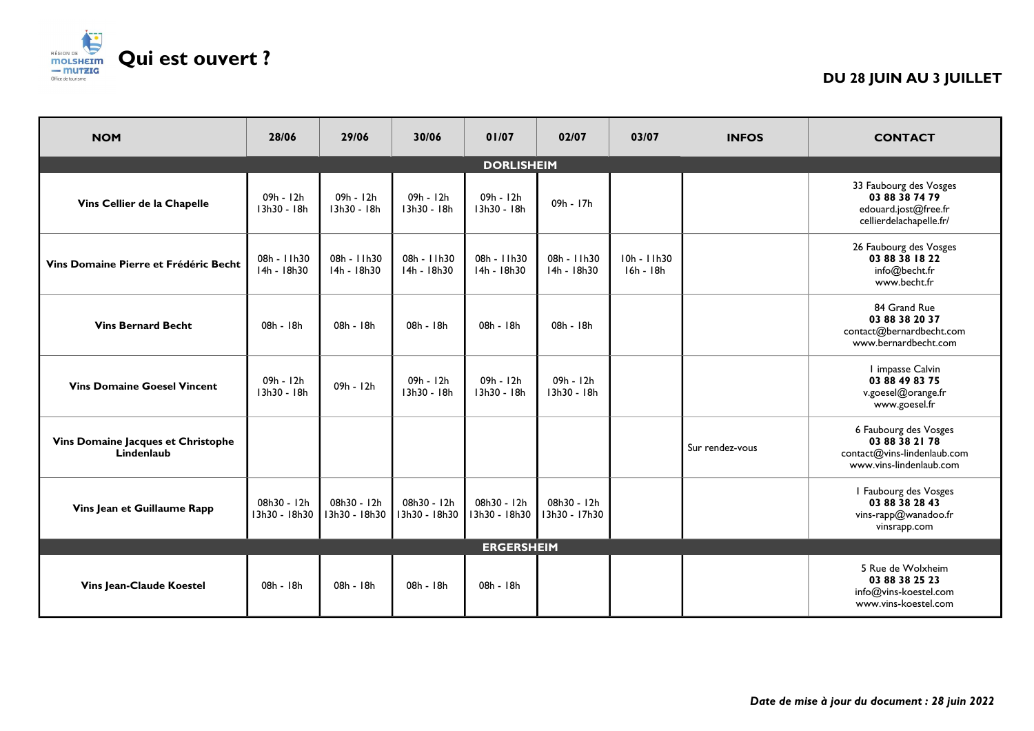

## **DU 28 JUIN AU 3 JUILLET**

| <b>NOM</b>                                       | 28/06                        | 29/06                        | 30/06                        | 01/07                        | 02/07                        | 03/07                    | <b>INFOS</b>    | <b>CONTACT</b>                                                                                    |  |
|--------------------------------------------------|------------------------------|------------------------------|------------------------------|------------------------------|------------------------------|--------------------------|-----------------|---------------------------------------------------------------------------------------------------|--|
|                                                  | <b>DORLISHEIM</b>            |                              |                              |                              |                              |                          |                 |                                                                                                   |  |
| Vins Cellier de la Chapelle                      | 09h - 12h<br>13h30 - 18h     | 09h - 12h<br>13h30 - 18h     | 09h - 12h<br>13h30 - 18h     | 09h - 12h<br>13h30 - 18h     | 09h - 17h                    |                          |                 | 33 Faubourg des Vosges<br>03 88 38 74 79<br>edouard.jost@free.fr<br>cellierdelachapelle.fr/       |  |
| Vins Domaine Pierre et Frédéric Becht            | 08h - 11h30<br>$14h - 18h30$ | 08h - 11h30<br>14h - 18h30   | 08h - 11h30<br>14h - 18h30   | 08h - 11h30<br>14h - 18h30   | 08h - 11h30<br>14h - 18h30   | 10h - 11h30<br>16h - 18h |                 | 26 Faubourg des Vosges<br>03 88 38 18 22<br>info@becht.fr<br>www.becht.fr                         |  |
| <b>Vins Bernard Becht</b>                        | 08h - 18h                    | 08h - 18h                    | 08h - 18h                    | 08h - 18h                    | 08h - 18h                    |                          |                 | 84 Grand Rue<br>03 88 38 20 37<br>contact@bernardbecht.com<br>www.bernardbecht.com                |  |
| <b>Vins Domaine Goesel Vincent</b>               | 09h - 12h<br>13h30 - 18h     | 09h - 12h                    | $09h - 12h$<br>13h30 - 18h   | 09h - 12h<br>13h30 - 18h     | 09h - 12h<br>13h30 - 18h     |                          |                 | I impasse Calvin<br>03 88 49 83 75<br>v.goesel@orange.fr<br>www.goesel.fr                         |  |
| Vins Domaine Jacques et Christophe<br>Lindenlaub |                              |                              |                              |                              |                              |                          | Sur rendez-vous | 6 Faubourg des Vosges<br>03 88 38 21 78<br>contact@vins-lindenlaub.com<br>www.vins-lindenlaub.com |  |
| Vins Jean et Guillaume Rapp                      | 08h30 - 12h<br>13h30 - 18h30 | 08h30 - 12h<br>13h30 - 18h30 | 08h30 - 12h<br>13h30 - 18h30 | 08h30 - 12h<br>13h30 - 18h30 | 08h30 - 12h<br>13h30 - 17h30 |                          |                 | I Faubourg des Vosges<br>03 88 38 28 43<br>vins-rapp@wanadoo.fr<br>vinsrapp.com                   |  |
| <b>ERGERSHEIM</b>                                |                              |                              |                              |                              |                              |                          |                 |                                                                                                   |  |
| Vins Jean-Claude Koestel                         | 08h - 18h                    | 08h - 18h                    | 08h - 18h                    | 08h - 18h                    |                              |                          |                 | 5 Rue de Wolxheim<br>03 88 38 25 23<br>info@vins-koestel.com<br>www.vins-koestel.com              |  |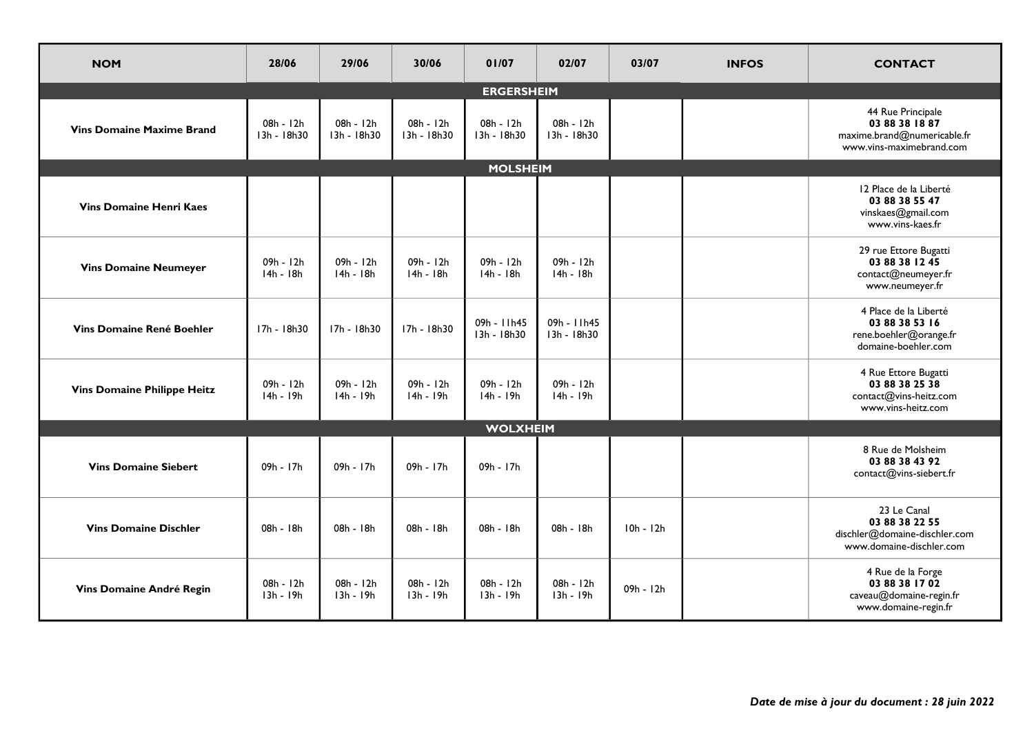| <b>NOM</b>                         | 28/06                    | 29/06                    | 30/06                    | 01/07                      | 02/07                      | 03/07       | <b>INFOS</b> | <b>CONTACT</b>                                                                                 |  |
|------------------------------------|--------------------------|--------------------------|--------------------------|----------------------------|----------------------------|-------------|--------------|------------------------------------------------------------------------------------------------|--|
|                                    | <b>ERGERSHEIM</b>        |                          |                          |                            |                            |             |              |                                                                                                |  |
| <b>Vins Domaine Maxime Brand</b>   | 08h - 12h<br>13h - 18h30 | 08h - 12h<br>13h - 18h30 | 08h - 12h<br>13h - 18h30 | 08h - 12h<br>13h - 18h30   | 08h - 12h<br>13h - 18h30   |             |              | 44 Rue Principale<br>03 88 38 18 87<br>maxime.brand@numericable.fr<br>www.vins-maximebrand.com |  |
|                                    |                          |                          |                          | <b>MOLSHEIM</b>            |                            |             |              |                                                                                                |  |
| <b>Vins Domaine Henri Kaes</b>     |                          |                          |                          |                            |                            |             |              | 12 Place de la Liberté<br>03 88 38 55 47<br>vinskaes@gmail.com<br>www.vins-kaes.fr             |  |
| <b>Vins Domaine Neumeyer</b>       | 09h - 12h<br>$14h - 18h$ | 09h - 12h<br>$14h - 18h$ | 09h - 12h<br>14h - 18h   | 09h - 12h<br>$14h - 18h$   | 09h - 12h<br>$14h - 18h$   |             |              | 29 rue Ettore Bugatti<br>03 88 38 12 45<br>contact@neumeyer.fr<br>www.neumeyer.fr              |  |
| <b>Vins Domaine René Boehler</b>   | 17h - 18h30              | 17h - 18h30              | 17h - 18h30              | 09h - 11h45<br>13h - 18h30 | 09h - 11h45<br>13h - 18h30 |             |              | 4 Place de la Liberté<br>03 88 38 53 16<br>rene.boehler@orange.fr<br>domaine-boehler.com       |  |
| <b>Vins Domaine Philippe Heitz</b> | 09h - 12h<br>$14h - 19h$ | 09h - 12h<br>$14h - 19h$ | 09h - 12h<br>$14h - 19h$ | 09h - 12h<br>$14h - 19h$   | 09h - 12h<br>$14h - 19h$   |             |              | 4 Rue Ettore Bugatti<br>03 88 38 25 38<br>contact@vins-heitz.com<br>www.vins-heitz.com         |  |
| <b>WOLXHEIM</b>                    |                          |                          |                          |                            |                            |             |              |                                                                                                |  |
| <b>Vins Domaine Siebert</b>        | 09h - 17h                | 09h - 17h                | 09h - 17h                | 09h - 17h                  |                            |             |              | 8 Rue de Molsheim<br>03 88 38 43 92<br>contact@vins-siebert.fr                                 |  |
| <b>Vins Domaine Dischler</b>       | 08h - 18h                | 08h - 18h                | 08h - 18h                | 08h - 18h                  | 08h - 18h                  | $10h - 12h$ |              | 23 Le Canal<br>03 88 38 22 55<br>dischler@domaine-dischler.com<br>www.domaine-dischler.com     |  |
| Vins Domaine André Regin           | 08h - 12h<br>$13h - 19h$ | 08h - 12h<br>13h - 19h   | 08h - 12h<br>13h - 19h   | $08h - 12h$<br>$13h - 19h$ | 08h - 12h<br>13h - 19h     | 09h - 12h   |              | 4 Rue de la Forge<br>03 88 38 17 02<br>caveau@domaine-regin.fr<br>www.domaine-regin.fr         |  |